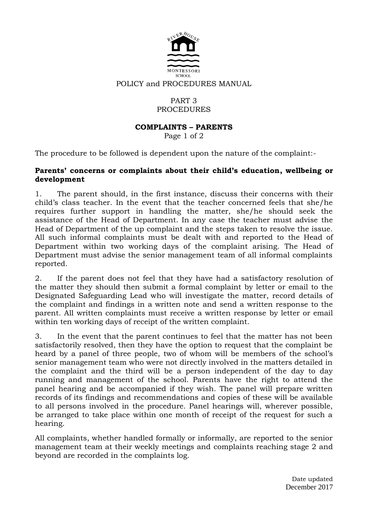

#### POLICY and PROCEDURES MANUAL

# PART 3 PROCEDURES

### **COMPLAINTS – PARENTS**

Page 1 of 2

The procedure to be followed is dependent upon the nature of the complaint:-

#### **Parents' concerns or complaints about their child's education, wellbeing or development**

1. The parent should, in the first instance, discuss their concerns with their child's class teacher. In the event that the teacher concerned feels that she/he requires further support in handling the matter, she/he should seek the assistance of the Head of Department. In any case the teacher must advise the Head of Department of the up complaint and the steps taken to resolve the issue. All such informal complaints must be dealt with and reported to the Head of Department within two working days of the complaint arising. The Head of Department must advise the senior management team of all informal complaints reported.

2. If the parent does not feel that they have had a satisfactory resolution of the matter they should then submit a formal complaint by letter or email to the Designated Safeguarding Lead who will investigate the matter, record details of the complaint and findings in a written note and send a written response to the parent. All written complaints must receive a written response by letter or email within ten working days of receipt of the written complaint.

3. In the event that the parent continues to feel that the matter has not been satisfactorily resolved, then they have the option to request that the complaint be heard by a panel of three people, two of whom will be members of the school's senior management team who were not directly involved in the matters detailed in the complaint and the third will be a person independent of the day to day running and management of the school. Parents have the right to attend the panel hearing and be accompanied if they wish. The panel will prepare written records of its findings and recommendations and copies of these will be available to all persons involved in the procedure. Panel hearings will, wherever possible, be arranged to take place within one month of receipt of the request for such a hearing.

All complaints, whether handled formally or informally, are reported to the senior management team at their weekly meetings and complaints reaching stage 2 and beyond are recorded in the complaints log.

> Date updated December 2017